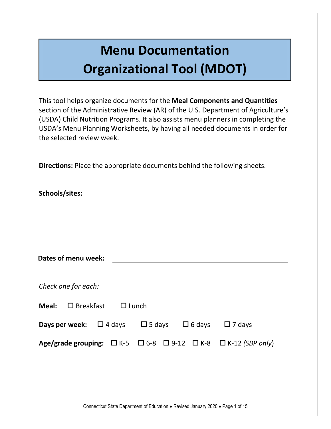### **Menu Documentation Organizational Tool (MDOT)**

This tool helps organize documents for the **Meal Components and Quantities** section of the Administrative Review (AR) of the U.S. Department of Agriculture's (USDA) Child Nutrition Programs. It also assists menu planners in completing the USDA's Menu Planning Worksheets, by having all needed documents in order for the selected review week.

**Directions:** Place the appropriate documents behind the following sheets.

**Schools/sites:** 

**Meal:** □ Breakfast □ Lunch

| Dates of menu week: |  |
|---------------------|--|
|                     |  |
| Check one for each: |  |

| <b>Days per week:</b> $\Box$ 4 days $\Box$ 5 days $\Box$ 6 days $\Box$ 7 days |  |                                                                                         |
|-------------------------------------------------------------------------------|--|-----------------------------------------------------------------------------------------|
|                                                                               |  | Age/grade grouping: $\Box$ K-5 $\Box$ 6-8 $\Box$ 9-12 $\Box$ K-8 $\Box$ K-12 (SBP only) |

Connecticut State Department of Education . Revised January 2020 . Page 1 of 15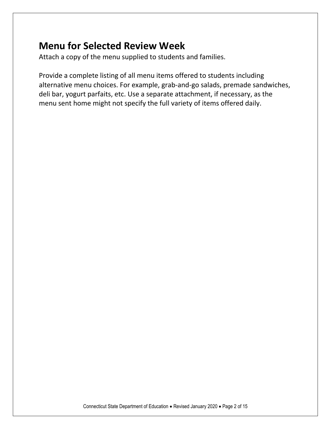#### **Menu for Selected Review Week**

Attach a copy of the menu supplied to students and families.

Provide a complete listing of all menu items offered to students including alternative menu choices. For example, grab-and-go salads, premade sandwiches, deli bar, yogurt parfaits, etc. Use a separate attachment, if necessary, as the menu sent home might not specify the full variety of items offered daily.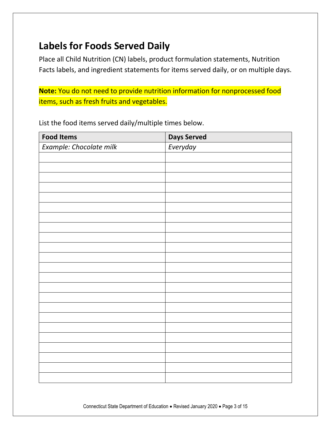#### **Labels for Foods Served Daily**

Place all Child Nutrition (CN) labels, product formulation statements, Nutrition Facts labels, and ingredient statements for items served daily, or on multiple days.

**Note:** You do not need to provide nutrition information for nonprocessed food items, such as fresh fruits and vegetables.

List the food items served daily/multiple times below.

| <b>Food Items</b>       | <b>Days Served</b> |
|-------------------------|--------------------|
| Example: Chocolate milk | Everyday           |
|                         |                    |
|                         |                    |
|                         |                    |
|                         |                    |
|                         |                    |
|                         |                    |
|                         |                    |
|                         |                    |
|                         |                    |
|                         |                    |
|                         |                    |
|                         |                    |
|                         |                    |
|                         |                    |
|                         |                    |
|                         |                    |
|                         |                    |
|                         |                    |
|                         |                    |
|                         |                    |
|                         |                    |
|                         |                    |
|                         |                    |

Connecticut State Department of Education . Revised January 2020 . Page 3 of 15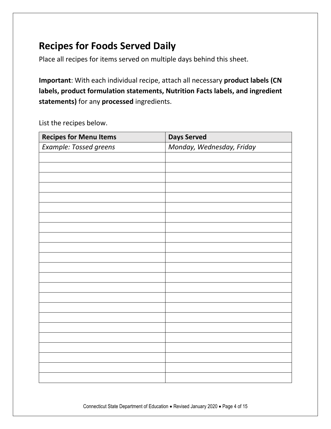#### **Recipes for Foods Served Daily**

Place all recipes for items served on multiple days behind this sheet.

**Important**: With each individual recipe, attach all necessary **product labels (CN labels, product formulation statements, Nutrition Facts labels, and ingredient statements)** for any **processed** ingredients.

List the recipes below.

| <b>Recipes for Menu Items</b> | <b>Days Served</b>        |
|-------------------------------|---------------------------|
| Example: Tossed greens        | Monday, Wednesday, Friday |
|                               |                           |
|                               |                           |
|                               |                           |
|                               |                           |
|                               |                           |
|                               |                           |
|                               |                           |
|                               |                           |
|                               |                           |
|                               |                           |
|                               |                           |
|                               |                           |
|                               |                           |
|                               |                           |
|                               |                           |
|                               |                           |
|                               |                           |
|                               |                           |
|                               |                           |
|                               |                           |
|                               |                           |
|                               |                           |
|                               |                           |

Connecticut State Department of Education . Revised January 2020 . Page 4 of 15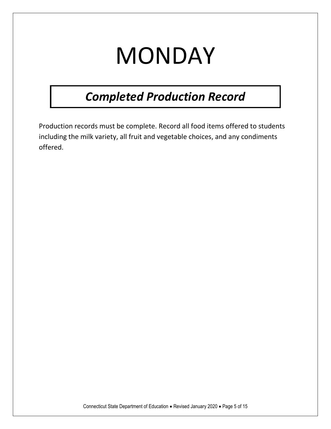# **MONDAY**

### *Completed Production Record*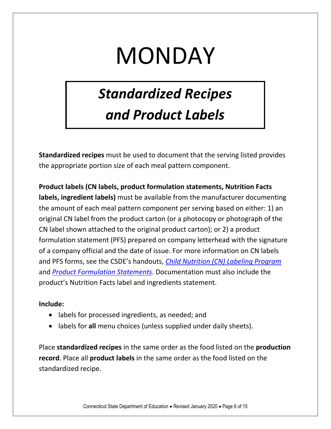# MONDAY

### *Standardized Recipes and Product Labels*

**Standardized recipes** must be used to document that the serving listed provides the appropriate portion size of each meal pattern component.

**Product labels (CN labels, product formulation statements, Nutrition Facts labels, ingredient labels)** must be available from the manufacturer documenting the amount of each meal pattern component per serving based on either: 1) an original CN label from the product carton (or a photocopy or photograph of the CN label shown attached to the original product carton); or 2) a product formulation statement (PFS) prepared on company letterhead with the signature of a company official and the date of issue. For more information on CN labels and PFS forms, see the CSDE's handouts, *[Child Nutrition \(CN\) Labeling Program](https://portal.ct.gov/-/media/SDE/Nutrition/NSLP/Crediting/CNlabel.pdf)* and *[Product Formulation Statements](https://portal.ct.gov/-/media/SDE/Nutrition/NSLP/Crediting/PFS.pdf)*. Documentation must also include the product's Nutrition Facts label and ingredients statement.

#### **Include:**

- labels for processed ingredients, as needed; and
- labels for **all** menu choices (unless supplied under daily sheets).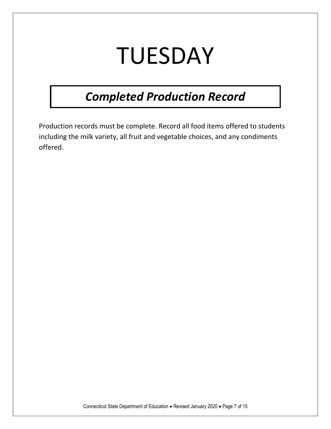# TUESDAY

### *Completed Production Record*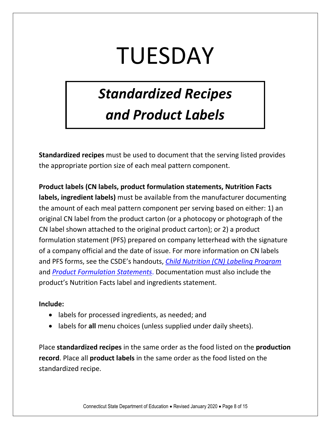# TUESDAY

### *Standardized Recipes and Product Labels*

**Standardized recipes** must be used to document that the serving listed provides the appropriate portion size of each meal pattern component.

**Product labels (CN labels, product formulation statements, Nutrition Facts labels, ingredient labels)** must be available from the manufacturer documenting the amount of each meal pattern component per serving based on either: 1) an original CN label from the product carton (or a photocopy or photograph of the CN label shown attached to the original product carton); or 2) a product formulation statement (PFS) prepared on company letterhead with the signature of a company official and the date of issue. For more information on CN labels and PFS forms, see the CSDE's handouts, *[Child Nutrition \(CN\) Labeling Program](https://portal.ct.gov/-/media/SDE/Nutrition/NSLP/Crediting/CNlabel.pdf)* and *[Product Formulation Statements](https://portal.ct.gov/-/media/SDE/Nutrition/NSLP/Crediting/PFS.pdf)*. Documentation must also include the product's Nutrition Facts label and ingredients statement.

#### **Include:**

- labels for processed ingredients, as needed; and
- labels for **all** menu choices (unless supplied under daily sheets).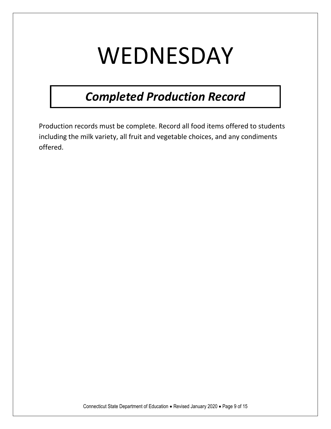# WEDNESDAY

### *Completed Production Record*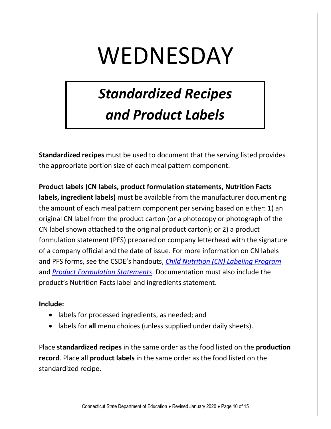## WEDNESDAY

### *Standardized Recipes and Product Labels*

**Standardized recipes** must be used to document that the serving listed provides the appropriate portion size of each meal pattern component.

**Product labels (CN labels, product formulation statements, Nutrition Facts labels, ingredient labels)** must be available from the manufacturer documenting the amount of each meal pattern component per serving based on either: 1) an original CN label from the product carton (or a photocopy or photograph of the CN label shown attached to the original product carton); or 2) a product formulation statement (PFS) prepared on company letterhead with the signature of a company official and the date of issue. For more information on CN labels and PFS forms, see the CSDE's handouts, *[Child Nutrition \(CN\) Labeling Program](https://portal.ct.gov/-/media/SDE/Nutrition/NSLP/Crediting/CNlabel.pdf)* and *[Product Formulation Statements](https://portal.ct.gov/-/media/SDE/Nutrition/NSLP/Crediting/PFS.pdf)*. Documentation must also include the product's Nutrition Facts label and ingredients statement.

#### **Include:**

- labels for processed ingredients, as needed; and
- labels for **all** menu choices (unless supplied under daily sheets).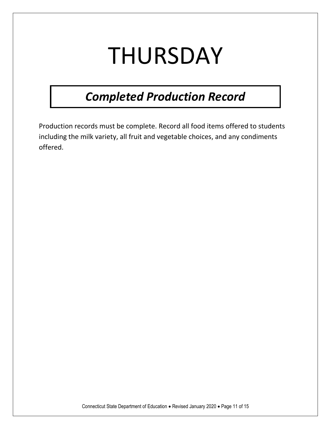# THURSDAY

### *Completed Production Record*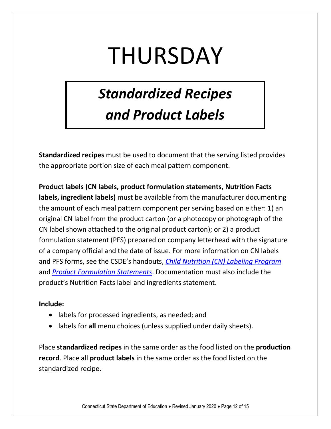# THURSDAY

### *Standardized Recipes and Product Labels*

**Standardized recipes** must be used to document that the serving listed provides the appropriate portion size of each meal pattern component.

**Product labels (CN labels, product formulation statements, Nutrition Facts labels, ingredient labels)** must be available from the manufacturer documenting the amount of each meal pattern component per serving based on either: 1) an original CN label from the product carton (or a photocopy or photograph of the CN label shown attached to the original product carton); or 2) a product formulation statement (PFS) prepared on company letterhead with the signature of a company official and the date of issue. For more information on CN labels and PFS forms, see the CSDE's handouts, *[Child Nutrition \(CN\) Labeling Program](https://portal.ct.gov/-/media/SDE/Nutrition/NSLP/Crediting/CNlabel.pdf)* and *[Product Formulation Statements](https://portal.ct.gov/-/media/SDE/Nutrition/NSLP/Crediting/PFS.pdf)*. Documentation must also include the product's Nutrition Facts label and ingredients statement.

#### **Include:**

- labels for processed ingredients, as needed; and
- labels for **all** menu choices (unless supplied under daily sheets).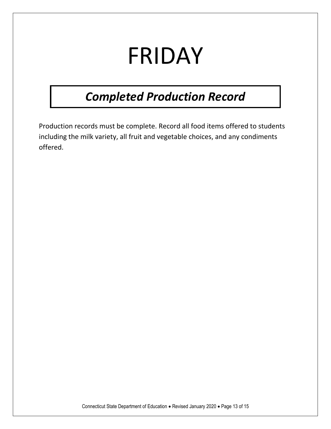# FRIDAY

### *Completed Production Record*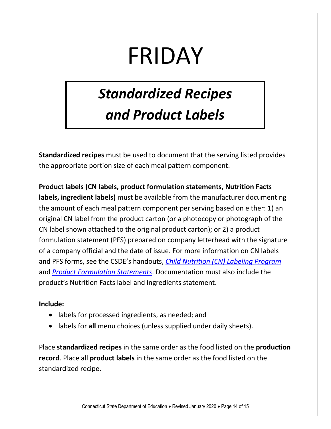# FRIDAY

### *Standardized Recipes and Product Labels*

**Standardized recipes** must be used to document that the serving listed provides the appropriate portion size of each meal pattern component.

**Product labels (CN labels, product formulation statements, Nutrition Facts labels, ingredient labels)** must be available from the manufacturer documenting the amount of each meal pattern component per serving based on either: 1) an original CN label from the product carton (or a photocopy or photograph of the CN label shown attached to the original product carton); or 2) a product formulation statement (PFS) prepared on company letterhead with the signature of a company official and the date of issue. For more information on CN labels and PFS forms, see the CSDE's handouts, *[Child Nutrition \(CN\) Labeling Program](https://portal.ct.gov/-/media/SDE/Nutrition/NSLP/Crediting/CNlabel.pdf)* and *[Product Formulation Statements](https://portal.ct.gov/-/media/SDE/Nutrition/NSLP/Crediting/PFS.pdf)*. Documentation must also include the product's Nutrition Facts label and ingredients statement.

#### **Include:**

- labels for processed ingredients, as needed; and
- labels for **all** menu choices (unless supplied under daily sheets).